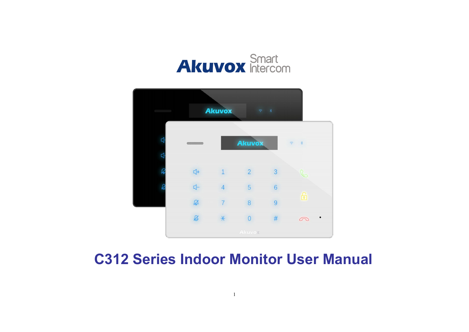



# **C312 Series Indoor Monitor User Manual**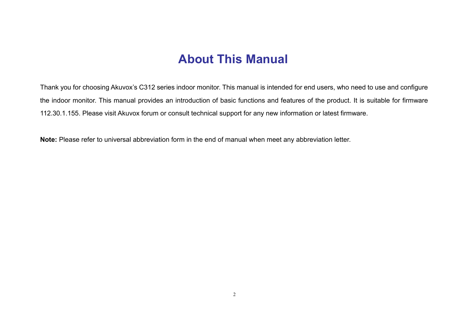# **About This Manual**

Thank you for choosing Akuvox's C312 series indoor monitor. This manual is intended for end users, who need to use and configure the indoor monitor. This manual provides an introduction of basic functions and features of the product. It is suitable for firmware 112.30.1.155. Please visit Akuvox forum or consult technical support for any new information or latest firmware.

**Note:** Please refer to universal abbreviation form in the end of manual when meet any abbreviation letter.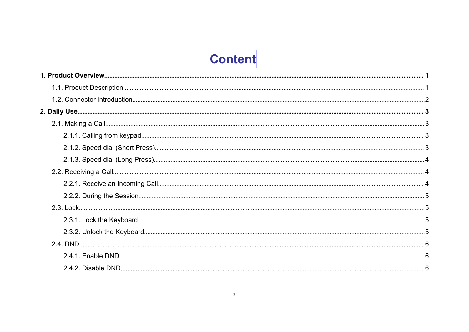# Content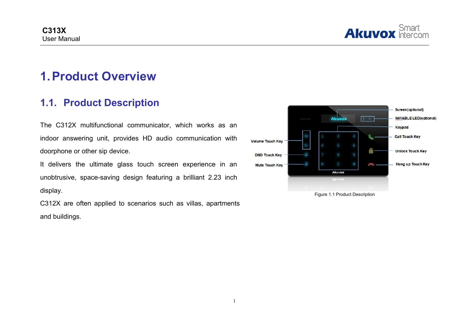

# <span id="page-3-1"></span><span id="page-3-0"></span>**1.Product Overview**

### **1.1. Product Description**

The C312X multifunctional communicator, which works as an indoor answering unit, provides HD audio communication with volume Touch Key doorphone or other sip device.

It delivers the ultimate glass touch screen experience in an Mute Touch Key unobtrusive, space-saving design featuring a brilliant 2.23 inch display.

C312X are often applied to scenarios such as villas, apartments and buildings.



Figure 1.1 Product Description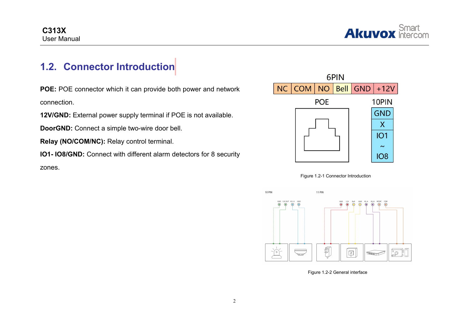

## <span id="page-4-0"></span>**1.2. Connector Introduction**

**POE:** POE connector which it can provide both power and network **NO NO NO NO NO N** connection.

**12V/GND:** External power supply terminal if POE is not available.

**DoorGND:** Connect a simple two-wire door bell.

**Relay (NO/COM/NC):** Relay control terminal.

**IO1- IO8/GND:** Connect with different alarm detectors for 8 security

zones.







Figure 1.2-2 General interface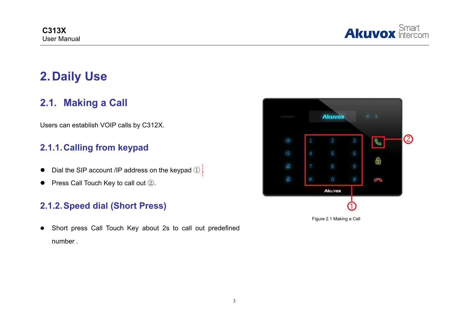

# <span id="page-5-1"></span><span id="page-5-0"></span>**2. Daily Use**

### **2.1. Making a Call**

Users can establish VOIP calls by C312X.

#### **2.1.1.Calling from keypad**

- Dial the SIP account /IP address on the keypad  $\mathbb{D}$ .
- **•** Press Call Touch Key to call out  $(2)$ .

#### **2.1.2.Speed dial (Short Press)**

 Short press Call Touch Key about 2s to call out predefined Figure 2.1 Making a Call Touch Key about 2s to call out predefined<br>number .

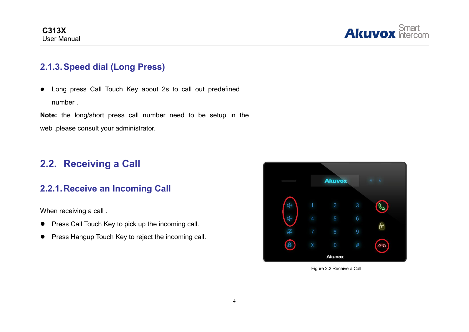

#### <span id="page-6-0"></span>**2.1.3.Speed dial (Long Press)**

 Long press Call Touch Key about 2s to call out predefined number .

**Note:** the long/short press call number need to be setup in the web ,please consult your administrator.

### **2.2. Receiving a Call**

#### **2.2.1.Receive an Incoming Call**

When receiving a call.

- **•** Press Call Touch Key to pick up the incoming call.
- **•** Press Hangup Touch Key to reject the incoming call.



Figure 2.2 Receive a Call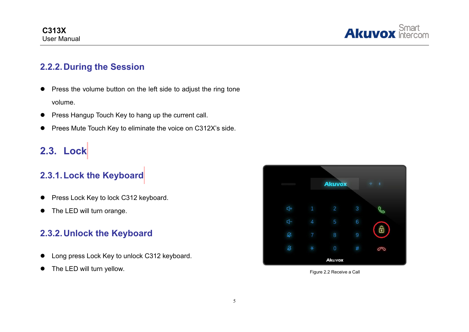

#### <span id="page-7-0"></span>**2.2.2.During the Session**

- **•** Press the volume button on the left side to adjust the ring tone volume.
- **•** Press Hangup Touch Key to hang up the current call.
- **•** Prees Mute Touch Key to eliminate the voice on C312X's side.

# **2.3. Lock**

## **2.3.1.Lock the Keyboard**

- **•** Press Lock Key to lock C312 keyboard.
- The LED will turn orange.

#### **2.3.2.Unlock the Keyboard**

- Long press Lock Key to unlock C312 keyboard.
- The LED will turn yellow. The LED will turn yellow.

|                |                | <b>Akuvox</b>  |   | × |
|----------------|----------------|----------------|---|---|
|                |                |                |   |   |
| $\frac{1}{2}$  | $\blacksquare$ | $\overline{2}$ | 3 |   |
| 4              | 4              | 5              | 6 |   |
| $\mathfrak{A}$ | 7              | 8              | 9 | ြ |
| Ø              | $\ast$         | $\overline{0}$ | # | 6 |
| Akuvox         |                |                |   |   |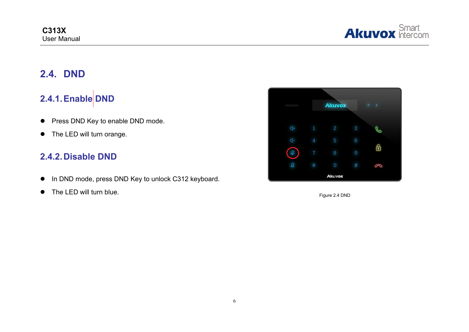

### <span id="page-8-0"></span>**2.4. DND**

### **2.4.1.Enable DND**

- Press DND Key to enable DND mode.
- The LED will turn orange.

#### **2.4.2.Disable DND**

- In DND mode, press DND Key to unlock C312 keyboard.
- The LED will turn blue. The LED will turn blue.

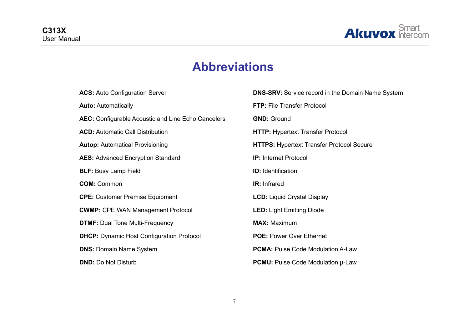

# **Abbreviations**

| <b>ACS:</b> Auto Configuration Server              | <b>DNS-SRV:</b> Service record in the Domain Name System |
|----------------------------------------------------|----------------------------------------------------------|
| <b>Auto: Automatically</b>                         | FTP: File Transfer Protocol                              |
| AEC: Configurable Acoustic and Line Echo Cancelers | <b>GND: Ground</b>                                       |
| <b>ACD:</b> Automatic Call Distribution            | <b>HTTP: Hypertext Transfer Protocol</b>                 |
| <b>Autop:</b> Automatical Provisioning             | <b>HTTPS: Hypertext Transfer Protocol Secure</b>         |
| <b>AES:</b> Advanced Encryption Standard           | <b>IP:</b> Internet Protocol                             |
| <b>BLF: Busy Lamp Field</b>                        | <b>ID:</b> Identification                                |
| <b>COM: Common</b>                                 | <b>IR:</b> Infrared                                      |
| <b>CPE:</b> Customer Premise Equipment             | <b>LCD: Liquid Crystal Display</b>                       |
| <b>CWMP:</b> CPE WAN Management Protocol           | <b>LED: Light Emitting Diode</b>                         |
| <b>DTMF: Dual Tone Multi-Frequency</b>             | <b>MAX: Maximum</b>                                      |
| <b>DHCP:</b> Dynamic Host Configuration Protocol   | <b>POE: Power Over Ethernet</b>                          |
| <b>DNS: Domain Name System</b>                     | <b>PCMA: Pulse Code Modulation A-Law</b>                 |
| <b>DND: Do Not Disturb</b>                         | <b>PCMU:</b> Pulse Code Modulation $\mu$ -Law            |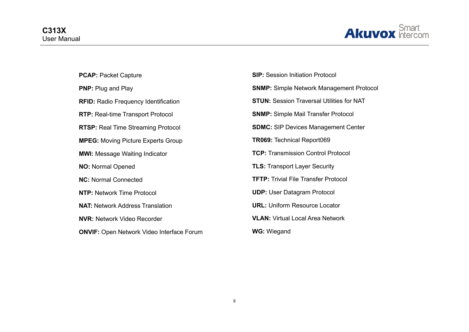

| <b>PCAP: Packet Capture</b>                      | <b>SIP:</b> Session Initiation Protocol          |
|--------------------------------------------------|--------------------------------------------------|
| <b>PNP:</b> Plug and Play                        | <b>SNMP:</b> Simple Network Management Protocol  |
| <b>RFID:</b> Radio Frequency Identification      | <b>STUN: Session Traversal Utilities for NAT</b> |
| <b>RTP:</b> Real-time Transport Protocol         | <b>SNMP:</b> Simple Mail Transfer Protocol       |
| <b>RTSP:</b> Real Time Streaming Protocol        | <b>SDMC:</b> SIP Devices Management Center       |
| <b>MPEG:</b> Moving Picture Experts Group        | <b>TR069: Technical Report069</b>                |
| <b>MWI: Message Waiting Indicator</b>            | <b>TCP: Transmission Control Protocol</b>        |
| <b>NO: Normal Opened</b>                         | <b>TLS: Transport Layer Security</b>             |
| <b>NC: Normal Connected</b>                      | <b>TFTP:</b> Trivial File Transfer Protocol      |
| <b>NTP: Network Time Protocol</b>                | <b>UDP:</b> User Datagram Protocol               |
| <b>NAT: Network Address Translation</b>          | <b>URL: Uniform Resource Locator</b>             |
| <b>NVR: Network Video Recorder</b>               | <b>VLAN: Virtual Local Area Network</b>          |
| <b>ONVIF:</b> Open Network Video Interface Forum | <b>WG: Wiegand</b>                               |